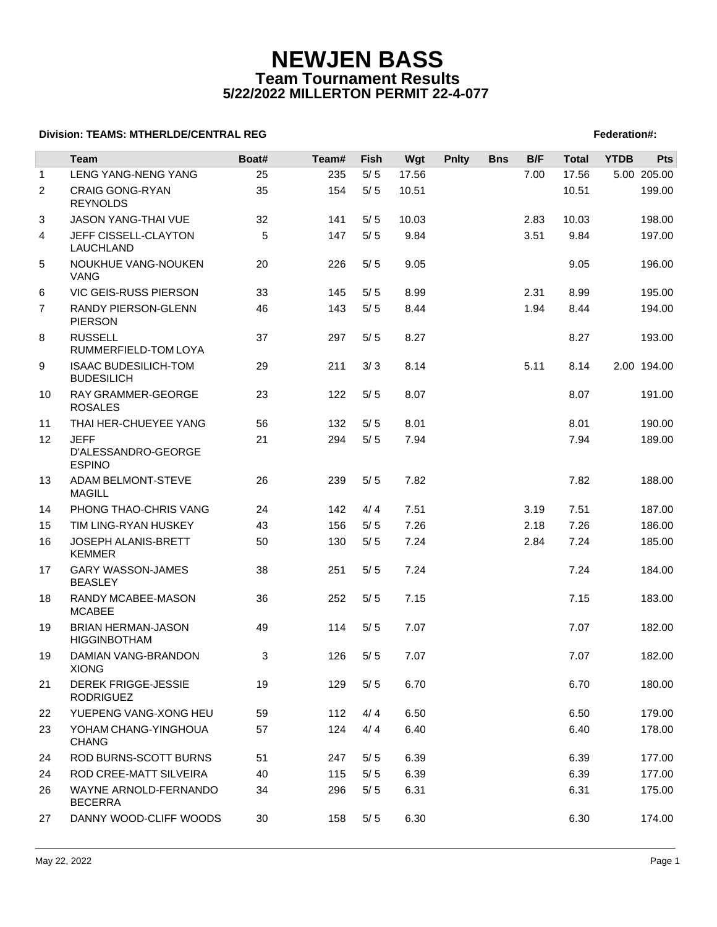## **NEWJEN BASS Team Tournament Results 5/22/2022 MILLERTON PERMIT 22-4-077**

### **Division: TEAMS: MTHERLDE/CENTRAL REG** Federation **Federation #:**  $\blacksquare$  Federation #:

|                | Team                                                | Boat# | Team# | Fish  | Wgt   | <b>Pnlty</b> | <b>Bns</b> | B/F  | <b>Total</b> | <b>YTDB</b> | <b>Pts</b>  |
|----------------|-----------------------------------------------------|-------|-------|-------|-------|--------------|------------|------|--------------|-------------|-------------|
| $\mathbf{1}$   | LENG YANG-NENG YANG                                 | 25    | 235   | 5/5   | 17.56 |              |            | 7.00 | 17.56        |             | 5.00 205.00 |
| $\overline{2}$ | <b>CRAIG GONG-RYAN</b><br><b>REYNOLDS</b>           | 35    | 154   | $5/5$ | 10.51 |              |            |      | 10.51        |             | 199.00      |
| 3              | <b>JASON YANG-THAI VUE</b>                          | 32    | 141   | 5/5   | 10.03 |              |            | 2.83 | 10.03        |             | 198.00      |
| 4              | JEFF CISSELL-CLAYTON<br>LAUCHLAND                   | 5     | 147   | 5/5   | 9.84  |              |            | 3.51 | 9.84         |             | 197.00      |
| 5              | NOUKHUE VANG-NOUKEN<br><b>VANG</b>                  | 20    | 226   | 5/5   | 9.05  |              |            |      | 9.05         |             | 196.00      |
| 6              | VIC GEIS-RUSS PIERSON                               | 33    | 145   | 5/5   | 8.99  |              |            | 2.31 | 8.99         |             | 195.00      |
| $\overline{7}$ | <b>RANDY PIERSON-GLENN</b><br><b>PIERSON</b>        | 46    | 143   | 5/5   | 8.44  |              |            | 1.94 | 8.44         |             | 194.00      |
| 8              | <b>RUSSELL</b><br>RUMMERFIELD-TOM LOYA              | 37    | 297   | 5/5   | 8.27  |              |            |      | 8.27         |             | 193.00      |
| 9              | <b>ISAAC BUDESILICH-TOM</b><br><b>BUDESILICH</b>    | 29    | 211   | 3/3   | 8.14  |              |            | 5.11 | 8.14         |             | 2.00 194.00 |
| 10             | RAY GRAMMER-GEORGE<br><b>ROSALES</b>                | 23    | 122   | 5/5   | 8.07  |              |            |      | 8.07         |             | 191.00      |
| 11             | THAI HER-CHUEYEE YANG                               | 56    | 132   | 5/5   | 8.01  |              |            |      | 8.01         |             | 190.00      |
| 12             | <b>JEFF</b><br>D'ALESSANDRO-GEORGE<br><b>ESPINO</b> | 21    | 294   | 5/5   | 7.94  |              |            |      | 7.94         |             | 189.00      |
| 13             | ADAM BELMONT-STEVE<br><b>MAGILL</b>                 | 26    | 239   | 5/5   | 7.82  |              |            |      | 7.82         |             | 188.00      |
| 14             | PHONG THAO-CHRIS VANG                               | 24    | 142   | 4/4   | 7.51  |              |            | 3.19 | 7.51         |             | 187.00      |
| 15             | TIM LING-RYAN HUSKEY                                | 43    | 156   | 5/5   | 7.26  |              |            | 2.18 | 7.26         |             | 186.00      |
| 16             | JOSEPH ALANIS-BRETT<br><b>KEMMER</b>                | 50    | 130   | 5/5   | 7.24  |              |            | 2.84 | 7.24         |             | 185.00      |
| 17             | <b>GARY WASSON-JAMES</b><br><b>BEASLEY</b>          | 38    | 251   | 5/5   | 7.24  |              |            |      | 7.24         |             | 184.00      |
| 18             | RANDY MCABEE-MASON<br><b>MCABEE</b>                 | 36    | 252   | 5/5   | 7.15  |              |            |      | 7.15         |             | 183.00      |
| 19             | <b>BRIAN HERMAN-JASON</b><br><b>HIGGINBOTHAM</b>    | 49    | 114   | 5/5   | 7.07  |              |            |      | 7.07         |             | 182.00      |
| 19             | DAMIAN VANG-BRANDON<br><b>XIONG</b>                 | 3     | 126   | 5/5   | 7.07  |              |            |      | 7.07         |             | 182.00      |
| 21             | <b>DEREK FRIGGE-JESSIE</b><br><b>RODRIGUEZ</b>      | 19    | 129   | 5/5   | 6.70  |              |            |      | 6.70         |             | 180.00      |
| 22             | YUEPENG VANG-XONG HEU                               | 59    | 112   | 4/4   | 6.50  |              |            |      | 6.50         |             | 179.00      |
| 23             | YOHAM CHANG-YINGHOUA<br><b>CHANG</b>                | 57    | 124   | 4/4   | 6.40  |              |            |      | 6.40         |             | 178.00      |
| 24             | ROD BURNS-SCOTT BURNS                               | 51    | 247   | 5/5   | 6.39  |              |            |      | 6.39         |             | 177.00      |
| 24             | ROD CREE-MATT SILVEIRA                              | 40    | 115   | 5/5   | 6.39  |              |            |      | 6.39         |             | 177.00      |
| 26             | WAYNE ARNOLD-FERNANDO<br><b>BECERRA</b>             | 34    | 296   | 5/5   | 6.31  |              |            |      | 6.31         |             | 175.00      |
| 27             | DANNY WOOD-CLIFF WOODS                              | 30    | 158   | $5/5$ | 6.30  |              |            |      | 6.30         |             | 174.00      |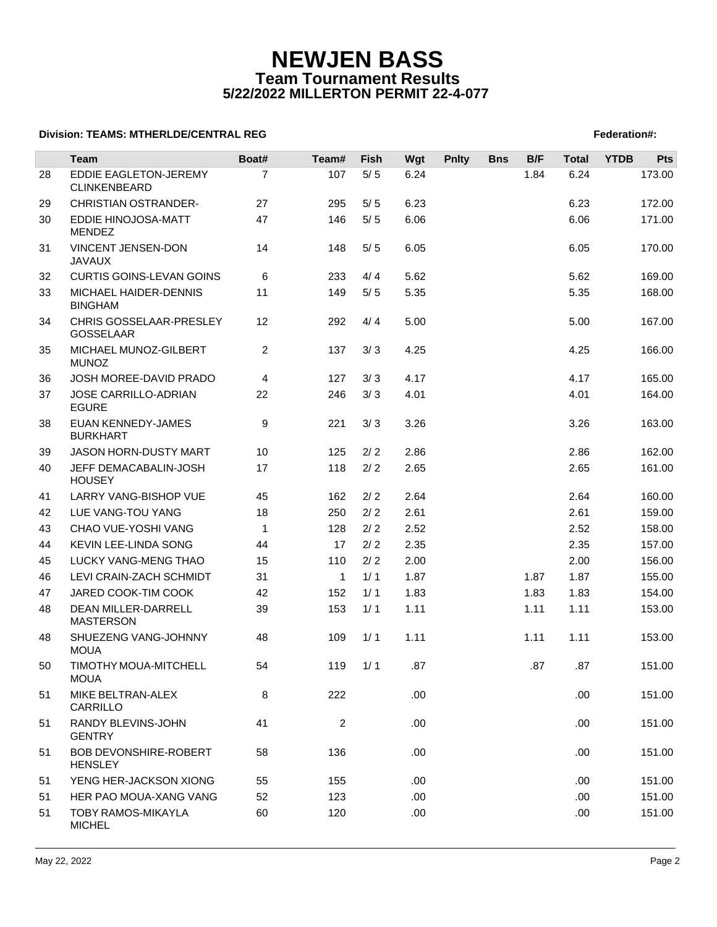## **NEWJEN BASS Team Tournament Results 5/22/2022 MILLERTON PERMIT 22-4-077**

### **Division: TEAMS: MTHERLDE/CENTRAL REG** Federation **Federation #:**  $\blacksquare$  Federation #:

|    | Team                                           | Boat#          | Team#          | Fish  | Wgt  | <b>Pnlty</b> | <b>Bns</b> | B/F  | <b>Total</b> | <b>YTDB</b> | Pts    |
|----|------------------------------------------------|----------------|----------------|-------|------|--------------|------------|------|--------------|-------------|--------|
| 28 | EDDIE EAGLETON-JEREMY<br>CLINKENBEARD          | $\overline{7}$ | 107            | $5/5$ | 6.24 |              |            | 1.84 | 6.24         |             | 173.00 |
| 29 | <b>CHRISTIAN OSTRANDER-</b>                    | 27             | 295            | 5/5   | 6.23 |              |            |      | 6.23         |             | 172.00 |
| 30 | EDDIE HINOJOSA-MATT<br><b>MENDEZ</b>           | 47             | 146            | 5/5   | 6.06 |              |            |      | 6.06         |             | 171.00 |
| 31 | VINCENT JENSEN-DON<br><b>JAVAUX</b>            | 14             | 148            | 5/5   | 6.05 |              |            |      | 6.05         |             | 170.00 |
| 32 | <b>CURTIS GOINS-LEVAN GOINS</b>                | 6              | 233            | 4/4   | 5.62 |              |            |      | 5.62         |             | 169.00 |
| 33 | MICHAEL HAIDER-DENNIS<br><b>BINGHAM</b>        | 11             | 149            | 5/5   | 5.35 |              |            |      | 5.35         |             | 168.00 |
| 34 | CHRIS GOSSELAAR-PRESLEY<br>GOSSELAAR           | 12             | 292            | 4/4   | 5.00 |              |            |      | 5.00         |             | 167.00 |
| 35 | MICHAEL MUNOZ-GILBERT<br><b>MUNOZ</b>          | 2              | 137            | 3/3   | 4.25 |              |            |      | 4.25         |             | 166.00 |
| 36 | JOSH MOREE-DAVID PRADO                         | 4              | 127            | 3/3   | 4.17 |              |            |      | 4.17         |             | 165.00 |
| 37 | JOSE CARRILLO-ADRIAN<br><b>EGURE</b>           | 22             | 246            | 3/3   | 4.01 |              |            |      | 4.01         |             | 164.00 |
| 38 | EUAN KENNEDY-JAMES<br><b>BURKHART</b>          | 9              | 221            | 3/3   | 3.26 |              |            |      | 3.26         |             | 163.00 |
| 39 | <b>JASON HORN-DUSTY MART</b>                   | 10             | 125            | 2/2   | 2.86 |              |            |      | 2.86         |             | 162.00 |
| 40 | JEFF DEMACABALIN-JOSH<br><b>HOUSEY</b>         | 17             | 118            | 2/2   | 2.65 |              |            |      | 2.65         |             | 161.00 |
| 41 | LARRY VANG-BISHOP VUE                          | 45             | 162            | 2/2   | 2.64 |              |            |      | 2.64         |             | 160.00 |
| 42 | LUE VANG-TOU YANG                              | 18             | 250            | 2/2   | 2.61 |              |            |      | 2.61         |             | 159.00 |
| 43 | CHAO VUE-YOSHI VANG                            | $\mathbf{1}$   | 128            | 2/2   | 2.52 |              |            |      | 2.52         |             | 158.00 |
| 44 | KEVIN LEE-LINDA SONG                           | 44             | 17             | 2/2   | 2.35 |              |            |      | 2.35         |             | 157.00 |
| 45 | LUCKY VANG-MENG THAO                           | 15             | 110            | 2/2   | 2.00 |              |            |      | 2.00         |             | 156.00 |
| 46 | LEVI CRAIN-ZACH SCHMIDT                        | 31             | $\mathbf{1}$   | 1/1   | 1.87 |              |            | 1.87 | 1.87         |             | 155.00 |
| 47 | JARED COOK-TIM COOK                            | 42             | 152            | 1/1   | 1.83 |              |            | 1.83 | 1.83         |             | 154.00 |
| 48 | DEAN MILLER-DARRELL<br><b>MASTERSON</b>        | 39             | 153            | 1/1   | 1.11 |              |            | 1.11 | 1.11         |             | 153.00 |
| 48 | SHUEZENG VANG-JOHNNY<br><b>MOUA</b>            | 48             | 109            | 1/1   | 1.11 |              |            | 1.11 | 1.11         |             | 153.00 |
| 50 | TIMOTHY MOUA-MITCHELL<br><b>MOUA</b>           | 54             | 119            | 1/1   | .87  |              |            | .87  | .87          |             | 151.00 |
| 51 | MIKE BELTRAN-ALEX<br>CARRILLO                  | 8              | 222            |       | .00. |              |            |      | .00          |             | 151.00 |
| 51 | RANDY BLEVINS-JOHN<br><b>GENTRY</b>            | 41             | $\overline{c}$ |       | .00. |              |            |      | .00.         |             | 151.00 |
| 51 | <b>BOB DEVONSHIRE-ROBERT</b><br><b>HENSLEY</b> | 58             | 136            |       | .00. |              |            |      | .00          |             | 151.00 |
| 51 | YENG HER-JACKSON XIONG                         | 55             | 155            |       | .00. |              |            |      | .00.         |             | 151.00 |
| 51 | HER PAO MOUA-XANG VANG                         | 52             | 123            |       | .00. |              |            |      | .00          |             | 151.00 |
| 51 | <b>TOBY RAMOS-MIKAYLA</b><br><b>MICHEL</b>     | 60             | 120            |       | .00  |              |            |      | .00          |             | 151.00 |